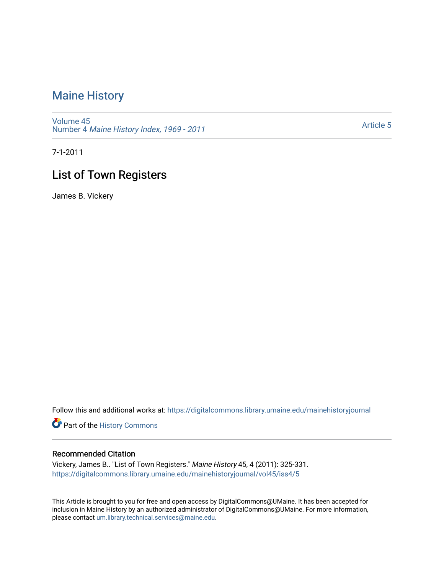## [Maine History](https://digitalcommons.library.umaine.edu/mainehistoryjournal)

[Volume 45](https://digitalcommons.library.umaine.edu/mainehistoryjournal/vol45) Number 4 [Maine History Index, 1969 - 2011](https://digitalcommons.library.umaine.edu/mainehistoryjournal/vol45/iss4) 

[Article 5](https://digitalcommons.library.umaine.edu/mainehistoryjournal/vol45/iss4/5) 

7-1-2011

## List of Town Registers

James B. Vickery

Follow this and additional works at: [https://digitalcommons.library.umaine.edu/mainehistoryjournal](https://digitalcommons.library.umaine.edu/mainehistoryjournal?utm_source=digitalcommons.library.umaine.edu%2Fmainehistoryjournal%2Fvol45%2Fiss4%2F5&utm_medium=PDF&utm_campaign=PDFCoverPages) 

Part of the [History Commons](http://network.bepress.com/hgg/discipline/489?utm_source=digitalcommons.library.umaine.edu%2Fmainehistoryjournal%2Fvol45%2Fiss4%2F5&utm_medium=PDF&utm_campaign=PDFCoverPages) 

## Recommended Citation

Vickery, James B.. "List of Town Registers." Maine History 45, 4 (2011): 325-331. [https://digitalcommons.library.umaine.edu/mainehistoryjournal/vol45/iss4/5](https://digitalcommons.library.umaine.edu/mainehistoryjournal/vol45/iss4/5?utm_source=digitalcommons.library.umaine.edu%2Fmainehistoryjournal%2Fvol45%2Fiss4%2F5&utm_medium=PDF&utm_campaign=PDFCoverPages)

This Article is brought to you for free and open access by DigitalCommons@UMaine. It has been accepted for inclusion in Maine History by an authorized administrator of DigitalCommons@UMaine. For more information, please contact [um.library.technical.services@maine.edu.](mailto:um.library.technical.services@maine.edu)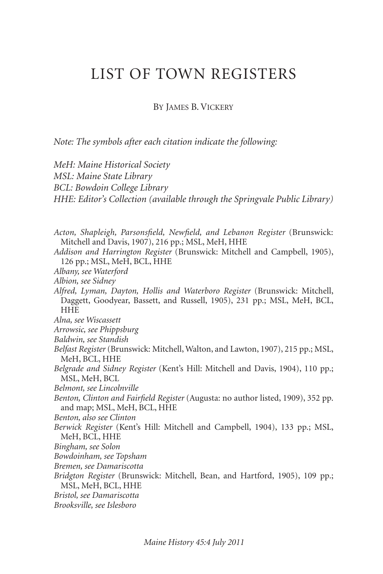## LIST OF TOWN REGISTERS

BY JAMES B. VICKERY

*Note: The symbols after each citation indicate the following:* 

*MeH: Maine Historical Society MSL: Maine State Library BCL: Bowdoin College Library HHE: Editor's Collection (available through the Springvale Public Library) Acton, Shapleigh, Parsonsfield, Newfield, and Lebanon Register* (Brunswick: Mitchell and Davis, 1907), 216 pp.; MSL, MeH, HHE *Addison and Harrington Register* (Brunswick: Mitchell and Campbell, 1905), 126 pp.; MSL, MeH, BCL, HHE *Albany, see Waterford Albion, see Sidney Alfred, Lyman, Dayton, Hollis and Waterboro Register* (Brunswick: Mitchell, Daggett, Goodyear, Bassett, and Russell, 1905), 231 pp.; MSL, MeH, BCL, **HHE** *Alna, see Wiscassett Arrowsic, see Phippsburg Baldwin, see Standish Belfast Register* (Brunswick: Mitchell, Walton, and Lawton, 1907), 215 pp.; MSL, MeH, BCL, HHE *Belgrade and Sidney Register* (Kent's Hill: Mitchell and Davis, 1904), 110 pp.; MSL, MeH, BCL *Belmont, see Lincolnville Benton, Clinton and Fairfield Register* (Augusta: no author listed, 1909), 352 pp. and map; MSL, MeH, BCL, HHE *Benton, also see Clinton Berwick Register* (Kent's Hill: Mitchell and Campbell, 1904), 133 pp.; MSL, MeH, BCL, HHE *Bingham, see Solon Bowdoinham, see Topsham Bremen, see Damariscotta Bridgton Register* (Brunswick: Mitchell, Bean, and Hartford, 1905), 109 pp.; MSL, MeH, BCL, HHE *Bristol, see Damariscotta Brooksville, see Islesboro*

*Maine History 45:4 July 2011*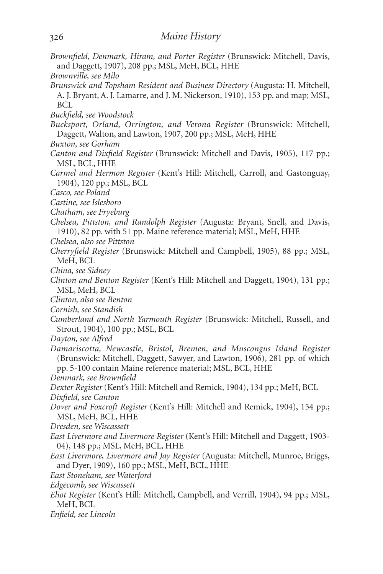- *Brownfield, Denmark, Hiram, and Porter Register* (Brunswick: Mitchell, Davis, and Daggett, 1907), 208 pp.; MSL, MeH, BCL, HHE
- *Brownville, see Milo*
- *Brunswick and Topsham Resident and Business Directory* (Augusta: H. Mitchell, A. J. Bryant, A. J. Lamarre, and J. M. Nickerson, 1910), 153 pp. and map; MSL, BCL
- *Buckfield, see Woodstock*
- *Bucksport, Orland, Orrington, and Verona Register* (Brunswick: Mitchell, Daggett, Walton, and Lawton, 1907, 200 pp.; MSL, MeH, HHE
- *Buxton, see Gorham*
- *Canton and Dixfield Register* (Brunswick: Mitchell and Davis, 1905), 117 pp.; MSL, BCL, HHE
- *Carmel and Hermon Register* (Kent's Hill: Mitchell, Carroll, and Gastonguay, 1904), 120 pp.; MSL, BCL
- *Casco, see Poland*
- *Castine, see Islesboro*
- *Chatham, see Fryeburg*
- *Chelsea, Pittston, and Randolph Register* (Augusta: Bryant, Snell, and Davis, 1910), 82 pp. with 51 pp. Maine reference material; MSL, MeH, HHE
- *Chelsea, also see Pittston*
- *Cherryfield Register* (Brunswick: Mitchell and Campbell, 1905), 88 pp.; MSL, MeH, BCL
- *China, see Sidney*
- *Clinton and Benton Register* (Kent's Hill: Mitchell and Daggett, 1904), 131 pp.; MSL, MeH, BCL
- *Clinton, also see Benton*
- *Cornish, see Standish*
- *Cumberland and North Yarmouth Register* (Brunswick: Mitchell, Russell, and Strout, 1904), 100 pp.; MSL, BCL
- *Dayton, see Alfred*
- *Damariscotta, Newcastle, Bristol, Bremen, and Muscongus Island Register* (Brunswick: Mitchell, Daggett, Sawyer, and Lawton, 1906), 281 pp. of which pp. 5-100 contain Maine reference material; MSL, BCL, HHE
- *Denmark, see Brownfield*
- *Dexter Register* (Kent's Hill: Mitchell and Remick, 1904), 134 pp.; MeH, BCL
- *Dixfield, see Canton*
- *Dover and Foxcroft Register* (Kent's Hill: Mitchell and Remick, 1904), 154 pp.; MSL, MeH, BCL, HHE
- *Dresden, see Wiscassett*
- *East Livermore and Livermore Register* (Kent's Hill: Mitchell and Daggett, 1903- 04), 148 pp.; MSL, MeH, BCL, HHE
- *East Livermore, Livermore and Jay Register* (Augusta: Mitchell, Munroe, Briggs, and Dyer, 1909), 160 pp.; MSL, MeH, BCL, HHE
- *East Stoneham, see Waterford*
- *Edgecomb, see Wiscassett*
- *Eliot Register* (Kent's Hill: Mitchell, Campbell, and Verrill, 1904), 94 pp.; MSL, MeH, BCL
- *Enfield, see Lincoln*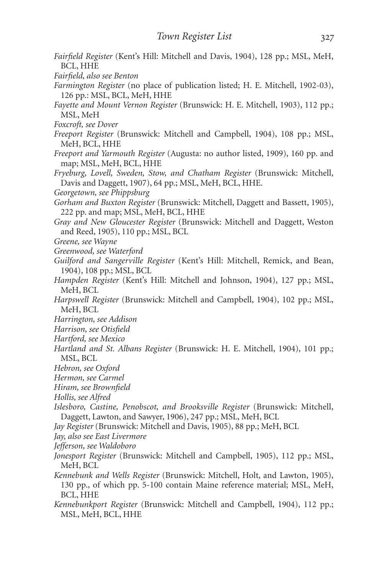- *Fairfield Register* (Kent's Hill: Mitchell and Davis, 1904), 128 pp.; MSL, MeH, BCL, HHE
- *Fairfield, also see Benton*
- *Farmington Register* (no place of publication listed; H. E. Mitchell, 1902-03), 126 pp.: MSL, BCL, MeH, HHE
- *Fayette and Mount Vernon Register* (Brunswick: H. E. Mitchell, 1903), 112 pp.; MSL, MeH
- *Foxcroft, see Dover*
- *Freeport Register* (Brunswick: Mitchell and Campbell, 1904), 108 pp.; MSL, MeH, BCL, HHE
- *Freeport and Yarmouth Register* (Augusta: no author listed, 1909), 160 pp. and map; MSL, MeH, BCL, HHE
- *Fryeburg, Lovell, Sweden, Stow, and Chatham Register* (Brunswick: Mitchell, Davis and Daggett, 1907), 64 pp.; MSL, MeH, BCL, HHE.
- *Georgetown, see Phippsburg*

*Gorham and Buxton Register* (Brunswick: Mitchell, Daggett and Bassett, 1905), 222 pp. and map; MSL, MeH, BCL, HHE

- *Gray and New Gloucester Register* (Brunswick: Mitchell and Daggett, Weston and Reed, 1905), 110 pp.; MSL, BCL
- *Greene, see Wayne*
- *Greenwood, see Waterford*
- *Guilford and Sangerville Register* (Kent's Hill: Mitchell, Remick, and Bean, 1904), 108 pp.; MSL, BCL
- *Hampden Register* (Kent's Hill: Mitchell and Johnson, 1904), 127 pp.; MSL, MeH, BCL
- *Harpswell Register* (Brunswick: Mitchell and Campbell, 1904), 102 pp.; MSL, MeH, BCL
- *Harrington, see Addison*
- *Harrison, see Otisfield*
- *Hartford, see Mexico*
- *Hartland and St. Albans Register* (Brunswick: H. E. Mitchell, 1904), 101 pp.; MSL, BCL
- *Hebron, see Oxford*
- *Hermon, see Carmel*
- *Hiram, see Brownfield*
- *Hollis, see Alfred*
- *Islesboro, Castine, Penobscot, and Brooksville Register* (Brunswick: Mitchell, Daggett, Lawton, and Sawyer, 1906), 247 pp.; MSL, MeH, BCL
- *Jay Register* (Brunswick: Mitchell and Davis, 1905), 88 pp.; MeH, BCL

*Jay, also see East Livermore*

- *Jefferson, see Waldoboro*
- *Jonesport Register* (Brunswick: Mitchell and Campbell, 1905), 112 pp.; MSL, MeH, BCL
- *Kennebunk and Wells Register* (Brunswick: Mitchell, Holt, and Lawton, 1905), 130 pp., of which pp. 5-100 contain Maine reference material; MSL, MeH, BCL, HHE
- *Kennebunkport Register* (Brunswick: Mitchell and Campbell, 1904), 112 pp.; MSL, MeH, BCL, HHE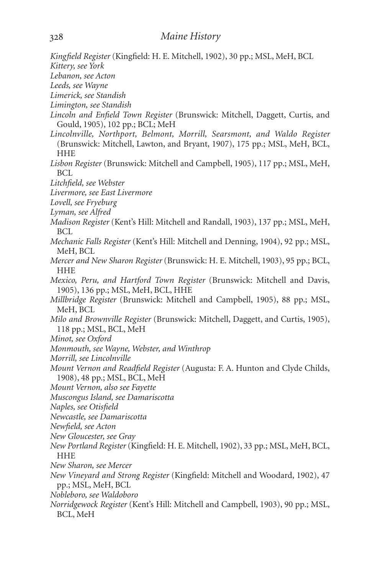*Kingfield Register* (Kingfield: H. E. Mitchell, 1902), 30 pp.; MSL, MeH, BCL *Kittery, see York Lebanon, see Acton Leeds, see Wayne Limerick, see Standish Limington, see Standish Lincoln and Enfield Town Register* (Brunswick: Mitchell, Daggett, Curtis, and Gould, 1905), 102 pp.; BCL; MeH *Lincolnville, Northport, Belmont, Morrill, Searsmont, and Waldo Register* (Brunswick: Mitchell, Lawton, and Bryant, 1907), 175 pp.; MSL, MeH, BCL, HHE *Lisbon Register* (Brunswick: Mitchell and Campbell, 1905), 117 pp.; MSL, MeH, BCL *Litchfield, see Webster Livermore, see East Livermore Lovell, see Fryeburg Lyman, see Alfred Madison Register* (Kent's Hill: Mitchell and Randall, 1903), 137 pp.; MSL, MeH, BCL *Mechanic Falls Register* (Kent's Hill: Mitchell and Denning, 1904), 92 pp.; MSL, MeH, BCL *Mercer and New Sharon Register* (Brunswick: H. E. Mitchell, 1903), 95 pp.; BCL, HHE *Mexico, Peru, and Hartford Town Register* (Brunswick: Mitchell and Davis, 1905), 136 pp.; MSL, MeH, BCL, HHE *Millbridge Register* (Brunswick: Mitchell and Campbell, 1905), 88 pp.; MSL, MeH, BCL *Milo and Brownville Register* (Brunswick: Mitchell, Daggett, and Curtis, 1905), 118 pp.; MSL, BCL, MeH *Minot, see Oxford Monmouth, see Wayne, Webster, and Winthrop Morrill, see Lincolnville Mount Vernon and Readfield Register* (Augusta: F. A. Hunton and Clyde Childs, 1908), 48 pp.; MSL, BCL, MeH *Mount Vernon, also see Fayette Muscongus Island, see Damariscotta Naples, see Otisfield Newcastle, see Damariscotta Newfield, see Acton New Gloucester, see Gray New Portland Register* (Kingfield: H. E. Mitchell, 1902), 33 pp.; MSL, MeH, BCL, **HHE** *New Sharon, see Mercer New Vineyard and Strong Register* (Kingfield: Mitchell and Woodard, 1902), 47 pp.; MSL, MeH, BCL *Nobleboro, see Waldoboro Norridgewock Register* (Kent's Hill: Mitchell and Campbell, 1903), 90 pp.; MSL, BCL, MeH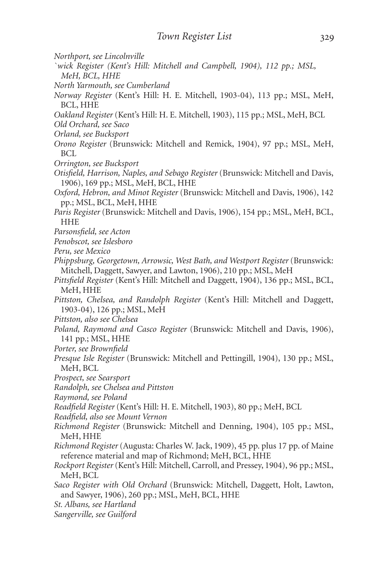- *Northport, see Lincolnville*
- *`wick Register (Kent's Hill: Mitchell and Campbell, 1904), 112 pp.; MSL, MeH, BCL, HHE*
- *North Yarmouth, see Cumberland*
- *Norway Register* (Kent's Hill: H. E. Mitchell, 1903-04), 113 pp.; MSL, MeH, BCL, HHE
- *Oakland Register* (Kent's Hill: H. E. Mitchell, 1903), 115 pp.; MSL, MeH, BCL
- *Old Orchard, see Saco*
- *Orland, see Bucksport*
- *Orono Register* (Brunswick: Mitchell and Remick, 1904), 97 pp.; MSL, MeH, BCL
- *Orrington, see Bucksport*
- *Otisfield, Harrison, Naples, and Sebago Register* (Brunswick: Mitchell and Davis, 1906), 169 pp.; MSL, MeH, BCL, HHE
- *Oxford, Hebron, and Minot Register* (Brunswick: Mitchell and Davis, 1906), 142 pp.; MSL, BCL, MeH, HHE
- *Paris Register* (Brunswick: Mitchell and Davis, 1906), 154 pp.; MSL, MeH, BCL, HHE
- *Parsonsfield, see Acton*
- *Penobscot, see Islesboro*
- *Peru, see Mexico*
- *Phippsburg, Georgetown, Arrowsic, West Bath, and Westport Register* (Brunswick: Mitchell, Daggett, Sawyer, and Lawton, 1906), 210 pp.; MSL, MeH
- *Pittsfield Register* (Kent's Hill: Mitchell and Daggett, 1904), 136 pp.; MSL, BCL, MeH, HHE
- *Pittston, Chelsea, and Randolph Register* (Kent's Hill: Mitchell and Daggett, 1903-04), 126 pp.; MSL, MeH
- *Pittston, also see Chelsea*
- *Poland, Raymond and Casco Register* (Brunswick: Mitchell and Davis, 1906), 141 pp.; MSL, HHE
- *Porter, see Brownfield*
- *Presque Isle Register* (Brunswick: Mitchell and Pettingill, 1904), 130 pp.; MSL, MeH, BCL
- *Prospect, see Searsport*
- *Randolph, see Chelsea and Pittston*
- *Raymond, see Poland*
- *Readfield Register* (Kent's Hill: H. E. Mitchell, 1903), 80 pp.; MeH, BCL
- *Readfield, also see Mount Vernon*
- *Richmond Register* (Brunswick: Mitchell and Denning, 1904), 105 pp.; MSL, MeH, HHE
- *Richmond Register* (Augusta: Charles W. Jack, 1909), 45 pp. plus 17 pp. of Maine reference material and map of Richmond; MeH, BCL, HHE
- *Rockport Register* (Kent's Hill: Mitchell, Carroll, and Pressey, 1904), 96 pp.; MSL, MeH, BCL
- *Saco Register with Old Orchard* (Brunswick: Mitchell, Daggett, Holt, Lawton, and Sawyer, 1906), 260 pp.; MSL, MeH, BCL, HHE
- *St. Albans, see Hartland*
- *Sangerville, see Guilford*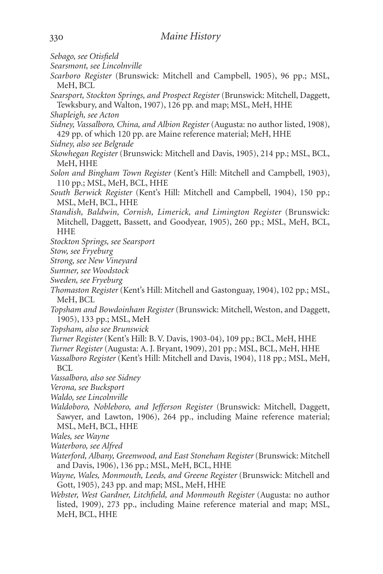- *Sebago, see Otisfield*
- *Searsmont, see Lincolnville*
- *Scarboro Register* (Brunswick: Mitchell and Campbell, 1905), 96 pp.; MSL, MeH, BCL
- *Searsport, Stockton Springs, and Prospect Register* (Brunswick: Mitchell, Daggett, Tewksbury, and Walton, 1907), 126 pp. and map; MSL, MeH, HHE
- *Shapleigh, see Acton*
- *Sidney, Vassalboro, China, and Albion Register* (Augusta: no author listed, 1908), 429 pp. of which 120 pp. are Maine reference material; MeH, HHE
- *Sidney, also see Belgrade*
- *Skowhegan Register* (Brunswick: Mitchell and Davis, 1905), 214 pp.; MSL, BCL, MeH, HHE
- *Solon and Bingham Town Register* (Kent's Hill: Mitchell and Campbell, 1903), 110 pp.; MSL, MeH, BCL, HHE
- *South Berwick Register* (Kent's Hill: Mitchell and Campbell, 1904), 150 pp.; MSL, MeH, BCL, HHE
- *Standish, Baldwin, Cornish, Limerick, and Limington Register* (Brunswick: Mitchell, Daggett, Bassett, and Goodyear, 1905), 260 pp.; MSL, MeH, BCL, HHE
- *Stockton Springs, see Searsport*
- *Stow, see Fryeburg*
- *Strong, see New Vineyard*
- *Sumner, see Woodstock*
- *Sweden, see Fryeburg*
- *Thomaston Register* (Kent's Hill: Mitchell and Gastonguay, 1904), 102 pp.; MSL, MeH, BCL
- *Topsham and Bowdoinham Register* (Brunswick: Mitchell, Weston, and Daggett, 1905), 133 pp.; MSL, MeH
- *Topsham, also see Brunswick*
- *Turner Register* (Kent's Hill: B. V. Davis, 1903-04), 109 pp.; BCL, MeH, HHE
- *Turner Register* (Augusta: A. J. Bryant, 1909), 201 pp.; MSL, BCL, MeH, HHE
- *Vassalboro Register* (Kent's Hill: Mitchell and Davis, 1904), 118 pp.; MSL, MeH, BCL
- *Vassalboro, also see Sidney*
- *Verona, see Bucksport*
- *Waldo, see Lincolnville*
- *Waldoboro, Nobleboro, and Jefferson Register* (Brunswick: Mitchell, Daggett, Sawyer, and Lawton, 1906), 264 pp., including Maine reference material; MSL, MeH, BCL, HHE
- *Wales, see Wayne*
- *Waterboro, see Alfred*
- *Waterford, Albany, Greenwood, and East Stoneham Register* (Brunswick: Mitchell and Davis, 1906), 136 pp.; MSL, MeH, BCL, HHE
- *Wayne, Wales, Monmouth, Leeds, and Greene Register* (Brunswick: Mitchell and Gott, 1905), 243 pp. and map; MSL, MeH, HHE
- *Webster, West Gardner, Litchfield, and Monmouth Register* (Augusta: no author listed, 1909), 273 pp., including Maine reference material and map; MSL, MeH, BCL, HHE